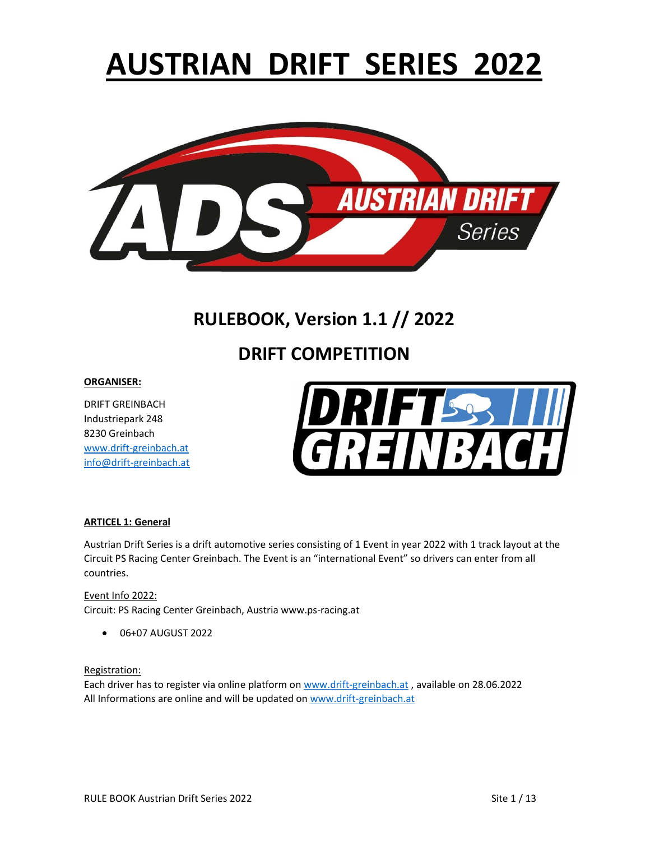# AUSTRIAN DRIFT SERIES 2022



# RULEBOOK, Version 1.1 // 2022

# DRIFT COMPETITION

#### ORGANISER:

DRIFT GREINBACH Industriepark 248 8230 Greinbach www.drift-greinbach.at info@drift-greinbach.at



#### ARTICEL 1: General

Austrian Drift Series is a drift automotive series consisting of 1 Event in year 2022 with 1 track layout at the Circuit PS Racing Center Greinbach. The Event is an "international Event" so drivers can enter from all countries.

Event Info 2022: Circuit: PS Racing Center Greinbach, Austria www.ps-racing.at

06+07 AUGUST 2022

Registration:

Each driver has to register via online platform on www.drift-greinbach.at , available on 28.06.2022 All Informations are online and will be updated on www.drift-greinbach.at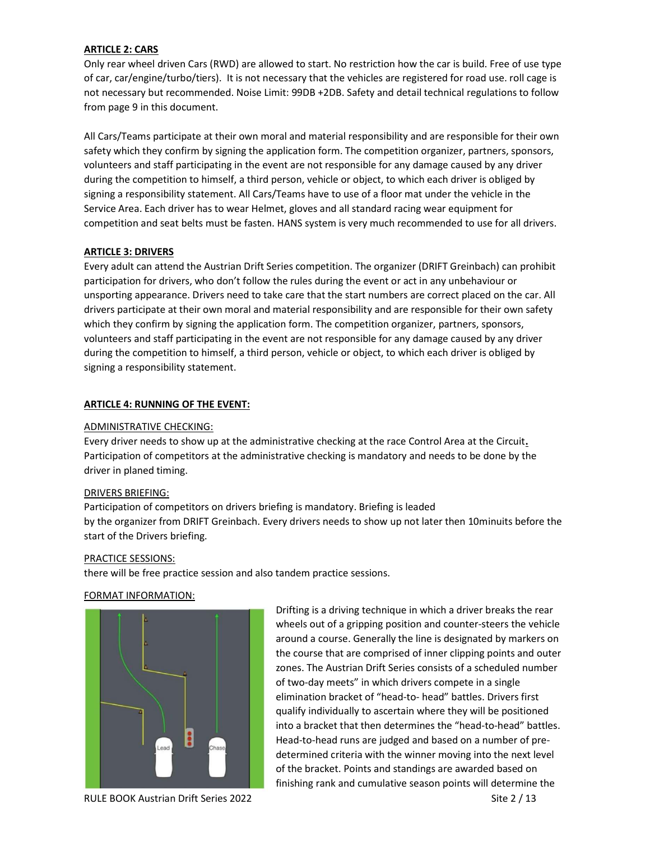#### ARTICLE 2: CARS

Only rear wheel driven Cars (RWD) are allowed to start. No restriction how the car is build. Free of use type of car, car/engine/turbo/tiers). It is not necessary that the vehicles are registered for road use. roll cage is not necessary but recommended. Noise Limit: 99DB +2DB. Safety and detail technical regulations to follow from page 9 in this document.

All Cars/Teams participate at their own moral and material responsibility and are responsible for their own safety which they confirm by signing the application form. The competition organizer, partners, sponsors, volunteers and staff participating in the event are not responsible for any damage caused by any driver during the competition to himself, a third person, vehicle or object, to which each driver is obliged by signing a responsibility statement. All Cars/Teams have to use of a floor mat under the vehicle in the Service Area. Each driver has to wear Helmet, gloves and all standard racing wear equipment for competition and seat belts must be fasten. HANS system is very much recommended to use for all drivers.

#### ARTICLE 3: DRIVERS

Every adult can attend the Austrian Drift Series competition. The organizer (DRIFT Greinbach) can prohibit participation for drivers, who don't follow the rules during the event or act in any unbehaviour or unsporting appearance. Drivers need to take care that the start numbers are correct placed on the car. All drivers participate at their own moral and material responsibility and are responsible for their own safety which they confirm by signing the application form. The competition organizer, partners, sponsors, volunteers and staff participating in the event are not responsible for any damage caused by any driver during the competition to himself, a third person, vehicle or object, to which each driver is obliged by signing a responsibility statement.

#### ARTICLE 4: RUNNING OF THE EVENT:

#### ADMINISTRATIVE CHECKING:

Every driver needs to show up at the administrative checking at the race Control Area at the Circuit. Participation of competitors at the administrative checking is mandatory and needs to be done by the driver in planed timing.

#### DRIVERS BRIEFING:

Participation of competitors on drivers briefing is mandatory. Briefing is leaded by the organizer from DRIFT Greinbach. Every drivers needs to show up not later then 10minuits before the start of the Drivers briefing.

#### PRACTICE SESSIONS:

there will be free practice session and also tandem practice sessions.

#### FORMAT INFORMATION:



Drifting is a driving technique in which a driver breaks the rear wheels out of a gripping position and counter-steers the vehicle around a course. Generally the line is designated by markers on the course that are comprised of inner clipping points and outer zones. The Austrian Drift Series consists of a scheduled number of two-day meets" in which drivers compete in a single elimination bracket of "head-to- head" battles. Drivers first qualify individually to ascertain where they will be positioned into a bracket that then determines the "head-to-head" battles. Head-to-head runs are judged and based on a number of predetermined criteria with the winner moving into the next level of the bracket. Points and standings are awarded based on finishing rank and cumulative season points will determine the

RULE BOOK Austrian Drift Series 2022 Site 2 / 13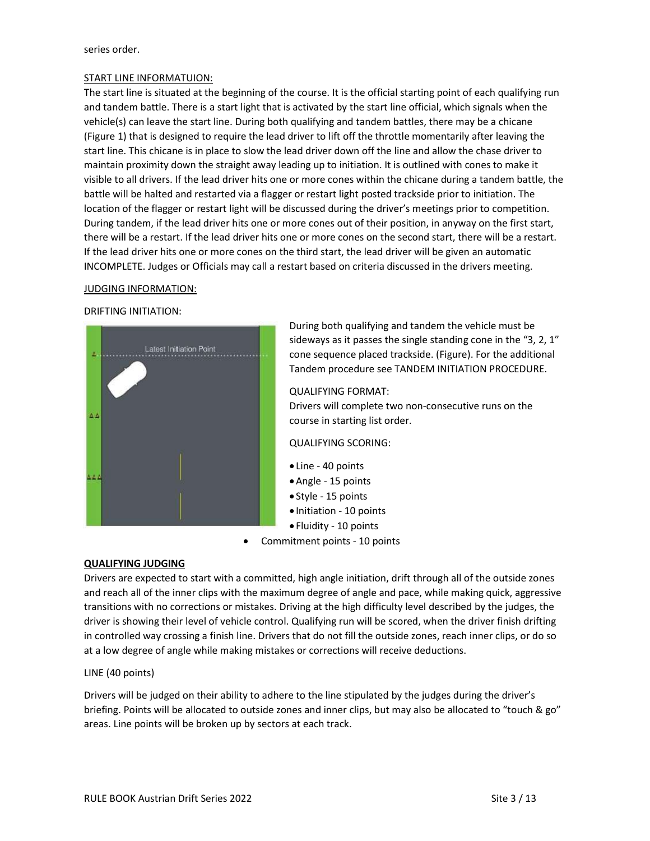#### series order.

#### START LINE INFORMATUION:

The start line is situated at the beginning of the course. It is the official starting point of each qualifying run and tandem battle. There is a start light that is activated by the start line official, which signals when the vehicle(s) can leave the start line. During both qualifying and tandem battles, there may be a chicane (Figure 1) that is designed to require the lead driver to lift off the throttle momentarily after leaving the start line. This chicane is in place to slow the lead driver down off the line and allow the chase driver to maintain proximity down the straight away leading up to initiation. It is outlined with cones to make it visible to all drivers. If the lead driver hits one or more cones within the chicane during a tandem battle, the battle will be halted and restarted via a flagger or restart light posted trackside prior to initiation. The location of the flagger or restart light will be discussed during the driver's meetings prior to competition. During tandem, if the lead driver hits one or more cones out of their position, in anyway on the first start, there will be a restart. If the lead driver hits one or more cones on the second start, there will be a restart. If the lead driver hits one or more cones on the third start, the lead driver will be given an automatic INCOMPLETE. Judges or Officials may call a restart based on criteria discussed in the drivers meeting.

#### JUDGING INFORMATION:

#### DRIFTING INITIATION:



During both qualifying and tandem the vehicle must be sideways as it passes the single standing cone in the "3, 2, 1" cone sequence placed trackside. (Figure). For the additional Tandem procedure see TANDEM INITIATION PROCEDURE.

QUALIFYING FORMAT:

Drivers will complete two non-consecutive runs on the course in starting list order.

QUALIFYING SCORING:

- Line 40 points
- Angle 15 points
- Style 15 points
- Initiation 10 points
- Fluidity 10 points
- Commitment points 10 points

#### QUALIFYING JUDGING

Drivers are expected to start with a committed, high angle initiation, drift through all of the outside zones and reach all of the inner clips with the maximum degree of angle and pace, while making quick, aggressive transitions with no corrections or mistakes. Driving at the high difficulty level described by the judges, the driver is showing their level of vehicle control. Qualifying run will be scored, when the driver finish drifting in controlled way crossing a finish line. Drivers that do not fill the outside zones, reach inner clips, or do so at a low degree of angle while making mistakes or corrections will receive deductions.

#### LINE (40 points)

Drivers will be judged on their ability to adhere to the line stipulated by the judges during the driver's briefing. Points will be allocated to outside zones and inner clips, but may also be allocated to "touch & go" areas. Line points will be broken up by sectors at each track.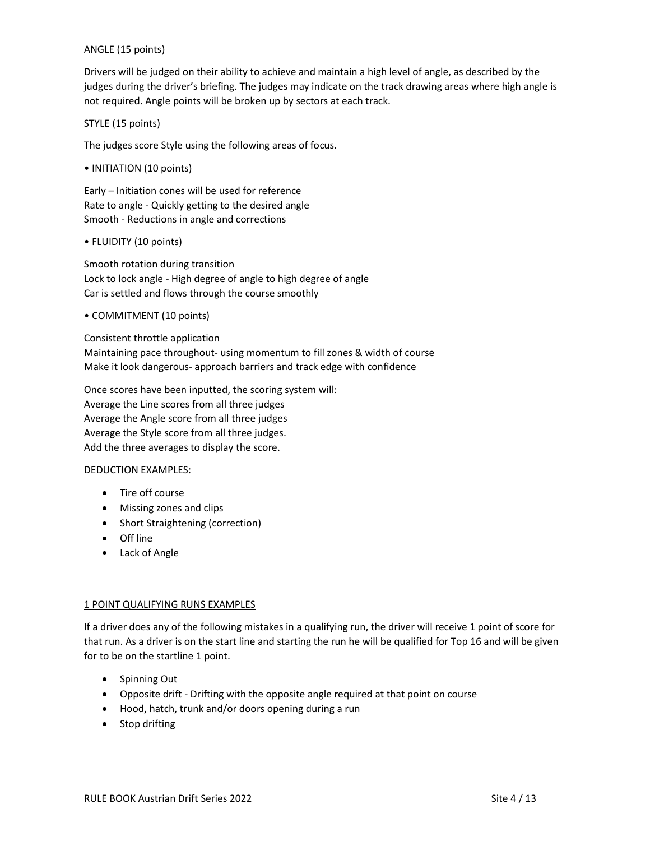#### ANGLE (15 points)

Drivers will be judged on their ability to achieve and maintain a high level of angle, as described by the judges during the driver's briefing. The judges may indicate on the track drawing areas where high angle is not required. Angle points will be broken up by sectors at each track.

STYLE (15 points)

The judges score Style using the following areas of focus.

• INITIATION (10 points)

Early – Initiation cones will be used for reference Rate to angle - Quickly getting to the desired angle Smooth - Reductions in angle and corrections

• FLUIDITY (10 points)

Smooth rotation during transition Lock to lock angle - High degree of angle to high degree of angle Car is settled and flows through the course smoothly

• COMMITMENT (10 points)

Consistent throttle application Maintaining pace throughout- using momentum to fill zones & width of course Make it look dangerous- approach barriers and track edge with confidence

Once scores have been inputted, the scoring system will: Average the Line scores from all three judges Average the Angle score from all three judges Average the Style score from all three judges. Add the three averages to display the score.

#### DEDUCTION EXAMPLES:

- Tire off course
- Missing zones and clips
- Short Straightening (correction)
- Off line
- Lack of Angle

#### 1 POINT QUALIFYING RUNS EXAMPLES

If a driver does any of the following mistakes in a qualifying run, the driver will receive 1 point of score for that run. As a driver is on the start line and starting the run he will be qualified for Top 16 and will be given for to be on the startline 1 point.

- Spinning Out
- Opposite drift Drifting with the opposite angle required at that point on course
- Hood, hatch, trunk and/or doors opening during a run
- Stop drifting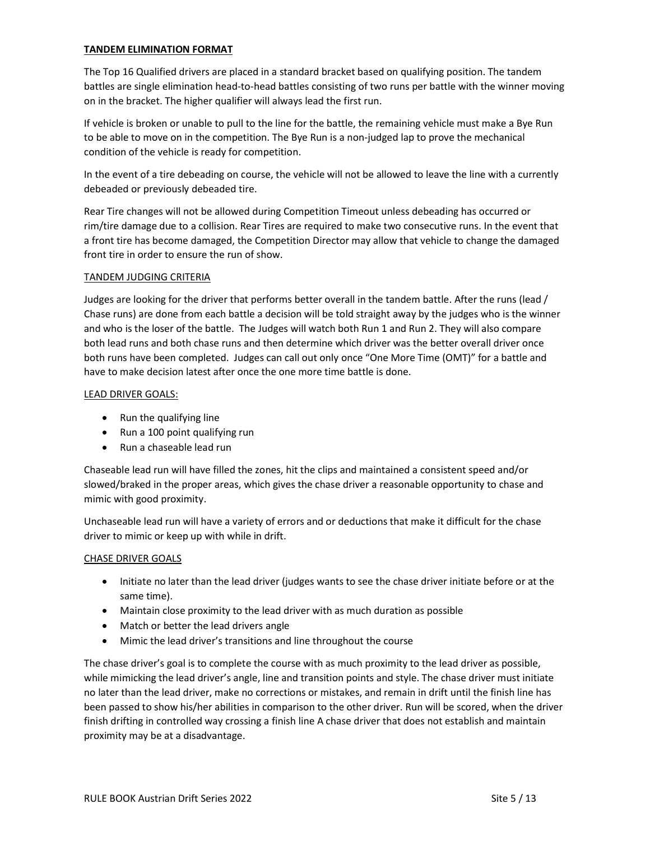#### TANDEM ELIMINATION FORMAT

The Top 16 Qualified drivers are placed in a standard bracket based on qualifying position. The tandem battles are single elimination head-to-head battles consisting of two runs per battle with the winner moving on in the bracket. The higher qualifier will always lead the first run.

If vehicle is broken or unable to pull to the line for the battle, the remaining vehicle must make a Bye Run to be able to move on in the competition. The Bye Run is a non-judged lap to prove the mechanical condition of the vehicle is ready for competition.

In the event of a tire debeading on course, the vehicle will not be allowed to leave the line with a currently debeaded or previously debeaded tire.

Rear Tire changes will not be allowed during Competition Timeout unless debeading has occurred or rim/tire damage due to a collision. Rear Tires are required to make two consecutive runs. In the event that a front tire has become damaged, the Competition Director may allow that vehicle to change the damaged front tire in order to ensure the run of show.

#### TANDEM JUDGING CRITERIA

Judges are looking for the driver that performs better overall in the tandem battle. After the runs (lead / Chase runs) are done from each battle a decision will be told straight away by the judges who is the winner and who is the loser of the battle. The Judges will watch both Run 1 and Run 2. They will also compare both lead runs and both chase runs and then determine which driver was the better overall driver once both runs have been completed. Judges can call out only once "One More Time (OMT)" for a battle and have to make decision latest after once the one more time battle is done.

#### LEAD DRIVER GOALS:

- Run the qualifying line
- Run a 100 point qualifying run
- Run a chaseable lead run

Chaseable lead run will have filled the zones, hit the clips and maintained a consistent speed and/or slowed/braked in the proper areas, which gives the chase driver a reasonable opportunity to chase and mimic with good proximity.

Unchaseable lead run will have a variety of errors and or deductions that make it difficult for the chase driver to mimic or keep up with while in drift.

#### CHASE DRIVER GOALS

- Initiate no later than the lead driver (judges wants to see the chase driver initiate before or at the same time).
- Maintain close proximity to the lead driver with as much duration as possible
- Match or better the lead drivers angle
- Mimic the lead driver's transitions and line throughout the course

The chase driver's goal is to complete the course with as much proximity to the lead driver as possible, while mimicking the lead driver's angle, line and transition points and style. The chase driver must initiate no later than the lead driver, make no corrections or mistakes, and remain in drift until the finish line has been passed to show his/her abilities in comparison to the other driver. Run will be scored, when the driver finish drifting in controlled way crossing a finish line A chase driver that does not establish and maintain proximity may be at a disadvantage.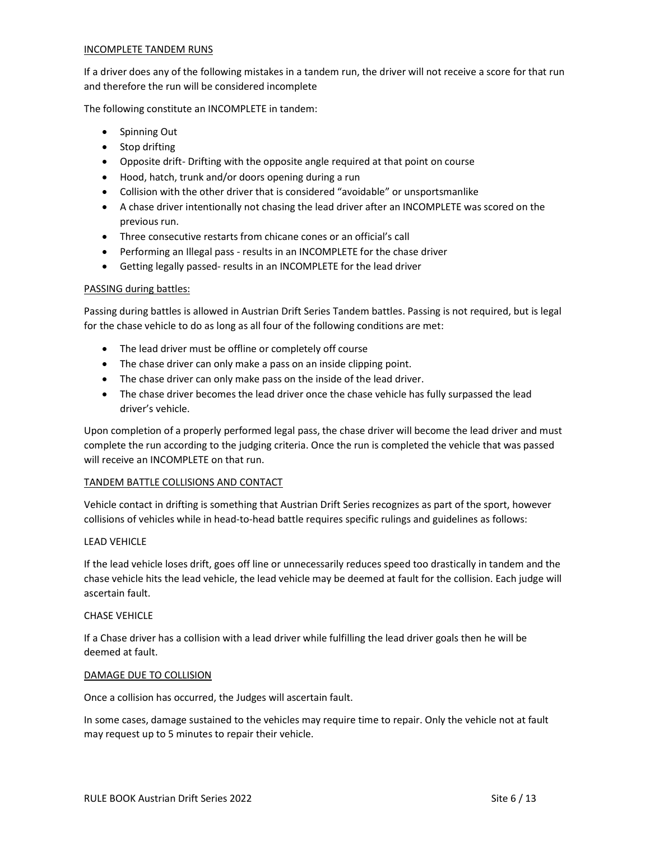#### INCOMPLETE TANDEM RUNS

If a driver does any of the following mistakes in a tandem run, the driver will not receive a score for that run and therefore the run will be considered incomplete

The following constitute an INCOMPLETE in tandem:

- Spinning Out
- Stop drifting
- Opposite drift- Drifting with the opposite angle required at that point on course
- Hood, hatch, trunk and/or doors opening during a run
- Collision with the other driver that is considered "avoidable" or unsportsmanlike
- A chase driver intentionally not chasing the lead driver after an INCOMPLETE was scored on the previous run.
- Three consecutive restarts from chicane cones or an official's call
- Performing an Illegal pass results in an INCOMPLETE for the chase driver
- Getting legally passed- results in an INCOMPLETE for the lead driver

#### PASSING during battles:

Passing during battles is allowed in Austrian Drift Series Tandem battles. Passing is not required, but is legal for the chase vehicle to do as long as all four of the following conditions are met:

- The lead driver must be offline or completely off course
- The chase driver can only make a pass on an inside clipping point.
- The chase driver can only make pass on the inside of the lead driver.
- The chase driver becomes the lead driver once the chase vehicle has fully surpassed the lead driver's vehicle.

Upon completion of a properly performed legal pass, the chase driver will become the lead driver and must complete the run according to the judging criteria. Once the run is completed the vehicle that was passed will receive an INCOMPLETE on that run.

#### TANDEM BATTLE COLLISIONS AND CONTACT

Vehicle contact in drifting is something that Austrian Drift Series recognizes as part of the sport, however collisions of vehicles while in head-to-head battle requires specific rulings and guidelines as follows:

#### **LEAD VEHICLE**

If the lead vehicle loses drift, goes off line or unnecessarily reduces speed too drastically in tandem and the chase vehicle hits the lead vehicle, the lead vehicle may be deemed at fault for the collision. Each judge will ascertain fault.

#### CHASE VEHICLE

If a Chase driver has a collision with a lead driver while fulfilling the lead driver goals then he will be deemed at fault.

#### DAMAGE DUE TO COLLISION

Once a collision has occurred, the Judges will ascertain fault.

In some cases, damage sustained to the vehicles may require time to repair. Only the vehicle not at fault may request up to 5 minutes to repair their vehicle.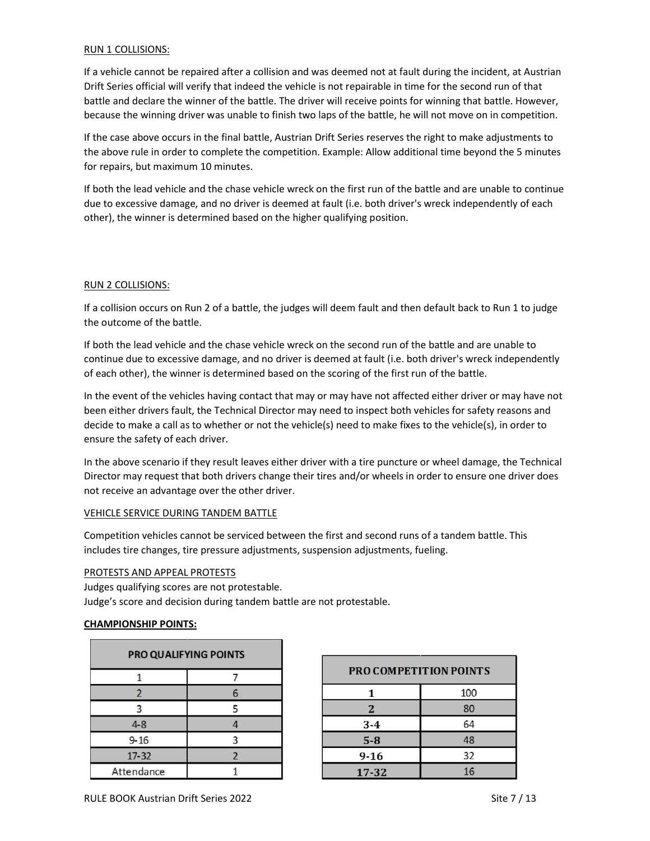#### RUN 1 COLLISIONS:

If a vehicle cannot be repaired after a collision and was deemed not at fault during the incident, at Austrian Drift Series official will verify that indeed the vehicle is not repairable in time for the second run of that battle and declare the winner of the battle. The driver will receive points for winning that battle. However, because the winning driver was unable to finish two laps of the battle, he will not move on in competition.

If the case above occurs in the final battle, Austrian Drift Series reserves the right to make adjustments to the above rule in order to complete the competition. Example: Allow additional time beyond the 5 minutes for repairs, but maximum 10 minutes.

If both the lead vehicle and the chase vehicle wreck on the first run of the battle and are unable to continue due to excessive damage, and no driver is deemed at fault (i.e. both driver's wreck independently of each other), the winner is determined based on the higher qualifying position.

#### RUN 2 COLLISIONS:

If a collision occurs on Run 2 of a battle, the judges will deem fault and then default back to Run 1 to judge the outcome of the battle.

If both the lead vehicle and the chase vehicle wreck on the second run of the battle and are unable to continue due to excessive damage, and no driver is deemed at fault (i.e. both driver's wreck independently of each other), the winner is determined based on the scoring of the first run of the battle.

In the event of the vehicles having contact that may or may have not affected either driver or may have not been either drivers fault, the Technical Director may need to inspect both vehicles for safety reasons and decide to make a call as to whether or not the vehicle(s) need to make fixes to the vehicle(s), in order to ensure the safety of each driver.

In the above scenario if they result leaves either driver with a tire puncture or wheel damage, the Technical Director may request that both drivers change their tires and/or wheels in order to ensure one driver does not receive an advantage over the other driver.

#### VEHICLE SERVICE DURING TANDEM BATTLE

Competition vehicles cannot be serviced between the first and second runs of a tandem battle. This includes tire changes, tire pressure adjustments, suspension adjustments, fueling.

#### PROTESTS AND APPEAL PROTESTS

Judges qualifying scores are not protestable. Judge's score and decision during tandem battle are not protestable.

#### CHAMPIONSHIP POINTS:

| PRO QUALIFYING POINTS |                          |
|-----------------------|--------------------------|
|                       |                          |
| $\overline{2}$        | 6                        |
| 3                     | 5                        |
| $4 - 8$               |                          |
| $9 - 16$              | 2                        |
| $17 - 32$             | $\overline{\phantom{a}}$ |
| Attendance            |                          |

| <b>PROCOMPETITION POINTS</b> |     |
|------------------------------|-----|
| 1                            | 100 |
| $\mathbf{z}$                 | 80  |
| $3 - 4$                      | 64  |
| $5 - 8$                      | 48  |
| $9 - 16$                     | 32  |
| 17-32                        | 16  |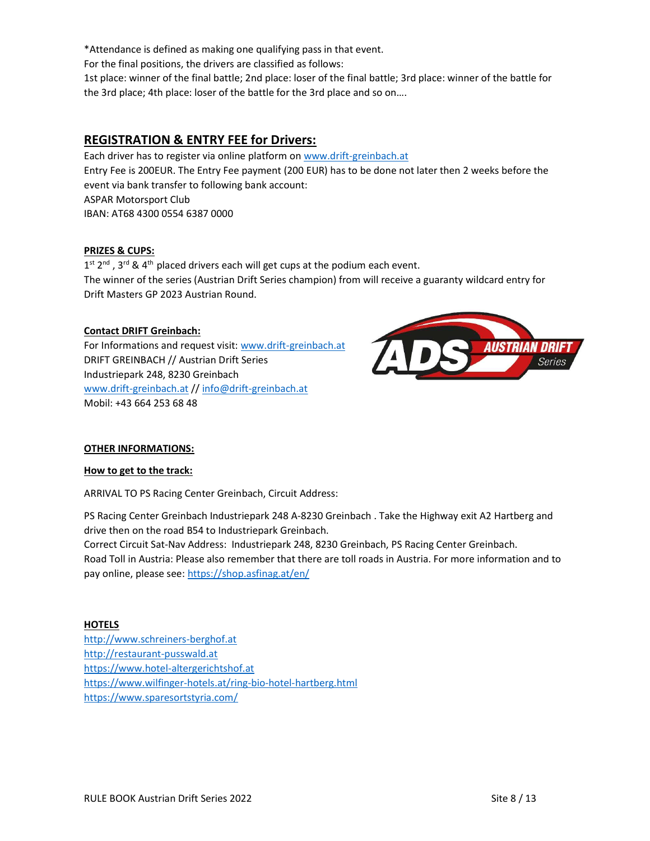\*Attendance is defined as making one qualifying pass in that event.

For the final positions, the drivers are classified as follows:

1st place: winner of the final battle; 2nd place: loser of the final battle; 3rd place: winner of the battle for the 3rd place; 4th place: loser of the battle for the 3rd place and so on….

# REGISTRATION & ENTRY FEE for Drivers:

Each driver has to register via online platform on www.drift-greinbach.at Entry Fee is 200EUR. The Entry Fee payment (200 EUR) has to be done not later then 2 weeks before the event via bank transfer to following bank account: ASPAR Motorsport Club IBAN: AT68 4300 0554 6387 0000

#### PRIZES & CUPS:

 $1^{st}$  2<sup>nd</sup>, 3<sup>rd</sup> & 4<sup>th</sup> placed drivers each will get cups at the podium each event. The winner of the series (Austrian Drift Series champion) from will receive a guaranty wildcard entry for Drift Masters GP 2023 Austrian Round.

#### Contact DRIFT Greinbach:

For Informations and request visit: www.drift-greinbach.at DRIFT GREINBACH // Austrian Drift Series Industriepark 248, 8230 Greinbach www.drift-greinbach.at // info@drift-greinbach.at Mobil: +43 664 253 68 48



#### OTHER INFORMATIONS:

#### How to get to the track:

ARRIVAL TO PS Racing Center Greinbach, Circuit Address:

PS Racing Center Greinbach Industriepark 248 A-8230 Greinbach . Take the Highway exit A2 Hartberg and drive then on the road B54 to Industriepark Greinbach.

Correct Circuit Sat-Nav Address: Industriepark 248, 8230 Greinbach, PS Racing Center Greinbach. Road Toll in Austria: Please also remember that there are toll roads in Austria. For more information and to pay online, please see: https://shop.asfinag.at/en/

#### **HOTELS**

http://www.schreiners-berghof.at http://restaurant-pusswald.at https://www.hotel-altergerichtshof.at https://www.wilfinger-hotels.at/ring-bio-hotel-hartberg.html https://www.sparesortstyria.com/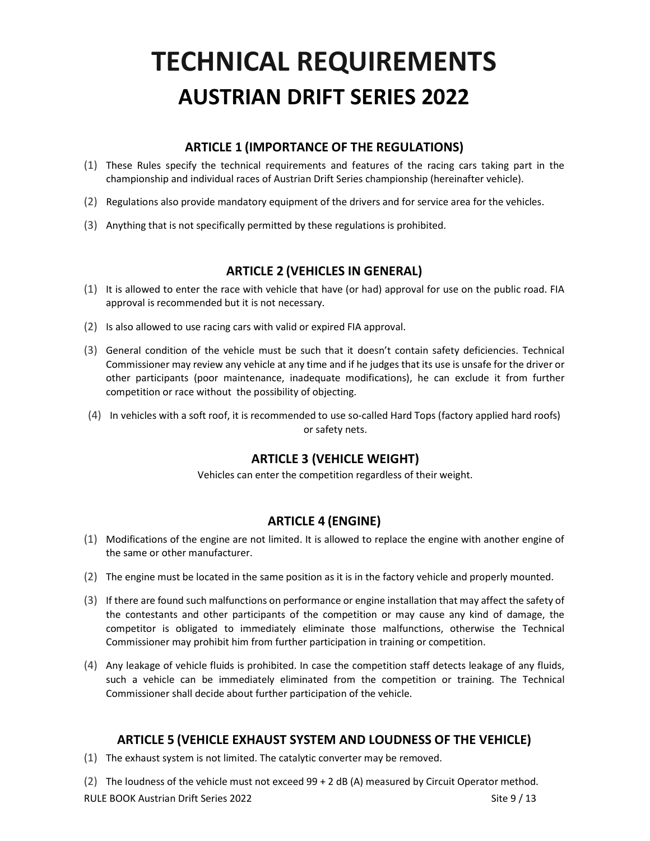# TECHNICAL REQUIREMENTS AUSTRIAN DRIFT SERIES 2022

# ARTICLE 1 (IMPORTANCE OF THE REGULATIONS)

- (1) These Rules specify the technical requirements and features of the racing cars taking part in the championship and individual races of Austrian Drift Series championship (hereinafter vehicle).
- (2) Regulations also provide mandatory equipment of the drivers and for service area for the vehicles.
- (3) Anything that is not specifically permitted by these regulations is prohibited.

# ARTICLE 2 (VEHICLES IN GENERAL)

- (1) It is allowed to enter the race with vehicle that have (or had) approval for use on the public road. FIA approval is recommended but it is not necessary.
- (2) Is also allowed to use racing cars with valid or expired FIA approval.
- (3) General condition of the vehicle must be such that it doesn't contain safety deficiencies. Technical Commissioner may review any vehicle at any time and if he judges that its use is unsafe for the driver or other participants (poor maintenance, inadequate modifications), he can exclude it from further competition or race without the possibility of objecting.
- (4) In vehicles with a soft roof, it is recommended to use so-called Hard Tops (factory applied hard roofs) or safety nets.

# ARTICLE 3 (VEHICLE WEIGHT)

Vehicles can enter the competition regardless of their weight.

# ARTICLE 4 (ENGINE)

- (1) Modifications of the engine are not limited. It is allowed to replace the engine with another engine of the same or other manufacturer.
- (2) The engine must be located in the same position as it is in the factory vehicle and properly mounted.
- (3) If there are found such malfunctions on performance or engine installation that may affect the safety of the contestants and other participants of the competition or may cause any kind of damage, the competitor is obligated to immediately eliminate those malfunctions, otherwise the Technical Commissioner may prohibit him from further participation in training or competition.
- (4) Any leakage of vehicle fluids is prohibited. In case the competition staff detects leakage of any fluids, such a vehicle can be immediately eliminated from the competition or training. The Technical Commissioner shall decide about further participation of the vehicle.

# ARTICLE 5 (VEHICLE EXHAUST SYSTEM AND LOUDNESS OF THE VEHICLE)

(1) The exhaust system is not limited. The catalytic converter may be removed.

RULE BOOK Austrian Drift Series 2022 Site 9 / 13 (2) The loudness of the vehicle must not exceed 99 + 2 dB (A) measured by Circuit Operator method.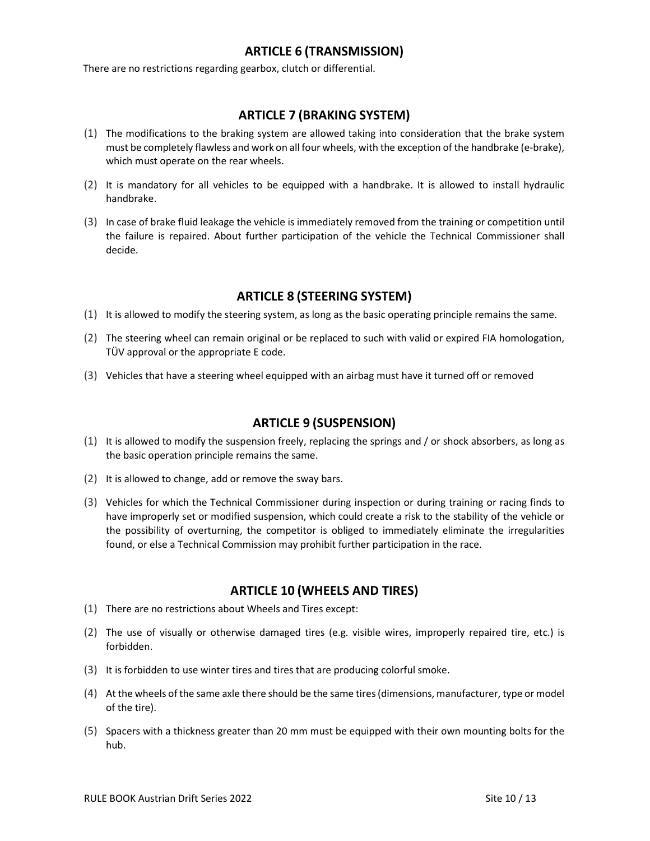# ARTICLE 6 (TRANSMISSION)

There are no restrictions regarding gearbox, clutch or differential.

## ARTICLE 7 (BRAKING SYSTEM)

- (1) The modifications to the braking system are allowed taking into consideration that the brake system must be completely flawless and work on all four wheels, with the exception of the handbrake (e-brake), which must operate on the rear wheels.
- (2) It is mandatory for all vehicles to be equipped with a handbrake. It is allowed to install hydraulic handbrake.
- (3) In case of brake fluid leakage the vehicle is immediately removed from the training or competition until the failure is repaired. About further participation of the vehicle the Technical Commissioner shall decide.

## ARTICLE 8 (STEERING SYSTEM)

- (1) It is allowed to modify the steering system, as long as the basic operating principle remains the same.
- (2) The steering wheel can remain original or be replaced to such with valid or expired FIA homologation, TÜV approval or the appropriate E code.
- (3) Vehicles that have a steering wheel equipped with an airbag must have it turned off or removed

# ARTICLE 9 (SUSPENSION)

- (1) It is allowed to modify the suspension freely, replacing the springs and / or shock absorbers, as long as the basic operation principle remains the same.
- (2) It is allowed to change, add or remove the sway bars.
- (3) Vehicles for which the Technical Commissioner during inspection or during training or racing finds to have improperly set or modified suspension, which could create a risk to the stability of the vehicle or the possibility of overturning, the competitor is obliged to immediately eliminate the irregularities found, or else a Technical Commission may prohibit further participation in the race.

#### ARTICLE 10 (WHEELS AND TIRES)

- (1) There are no restrictions about Wheels and Tires except:
- (2) The use of visually or otherwise damaged tires (e.g. visible wires, improperly repaired tire, etc.) is forbidden.
- (3) It is forbidden to use winter tires and tires that are producing colorful smoke.
- (4) At the wheels of the same axle there should be the same tires (dimensions, manufacturer, type or model of the tire).
- (5) Spacers with a thickness greater than 20 mm must be equipped with their own mounting bolts for the hub.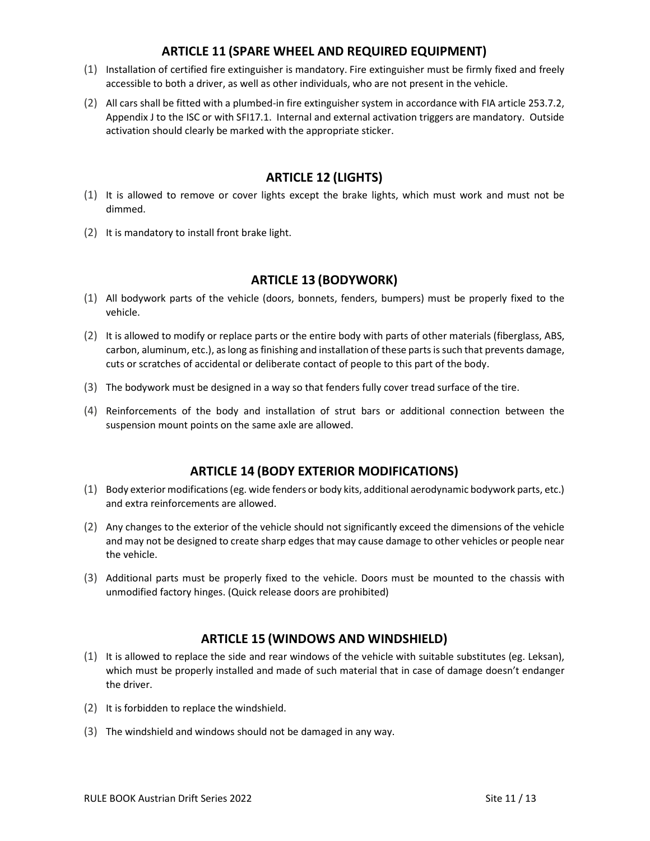# ARTICLE 11 (SPARE WHEEL AND REQUIRED EQUIPMENT)

- (1) Installation of certified fire extinguisher is mandatory. Fire extinguisher must be firmly fixed and freely accessible to both a driver, as well as other individuals, who are not present in the vehicle.
- (2) All cars shall be fitted with a plumbed-in fire extinguisher system in accordance with FIA article 253.7.2, Appendix J to the ISC or with SFI17.1. Internal and external activation triggers are mandatory. Outside activation should clearly be marked with the appropriate sticker.

# ARTICLE 12 (LIGHTS)

- (1) It is allowed to remove or cover lights except the brake lights, which must work and must not be dimmed.
- (2) It is mandatory to install front brake light.

# ARTICLE 13 (BODYWORK)

- (1) All bodywork parts of the vehicle (doors, bonnets, fenders, bumpers) must be properly fixed to the vehicle.
- (2) It is allowed to modify or replace parts or the entire body with parts of other materials (fiberglass, ABS, carbon, aluminum, etc.), as long as finishing and installation of these parts is such that prevents damage, cuts or scratches of accidental or deliberate contact of people to this part of the body.
- (3) The bodywork must be designed in a way so that fenders fully cover tread surface of the tire.
- (4) Reinforcements of the body and installation of strut bars or additional connection between the suspension mount points on the same axle are allowed.

# ARTICLE 14 (BODY EXTERIOR MODIFICATIONS)

- (1) Body exterior modifications (eg. wide fenders or body kits, additional aerodynamic bodywork parts, etc.) and extra reinforcements are allowed.
- (2) Any changes to the exterior of the vehicle should not significantly exceed the dimensions of the vehicle and may not be designed to create sharp edges that may cause damage to other vehicles or people near the vehicle.
- (3) Additional parts must be properly fixed to the vehicle. Doors must be mounted to the chassis with unmodified factory hinges. (Quick release doors are prohibited)

# ARTICLE 15 (WINDOWS AND WINDSHIELD)

- (1) It is allowed to replace the side and rear windows of the vehicle with suitable substitutes (eg. Leksan), which must be properly installed and made of such material that in case of damage doesn't endanger the driver.
- (2) It is forbidden to replace the windshield.
- (3) The windshield and windows should not be damaged in any way.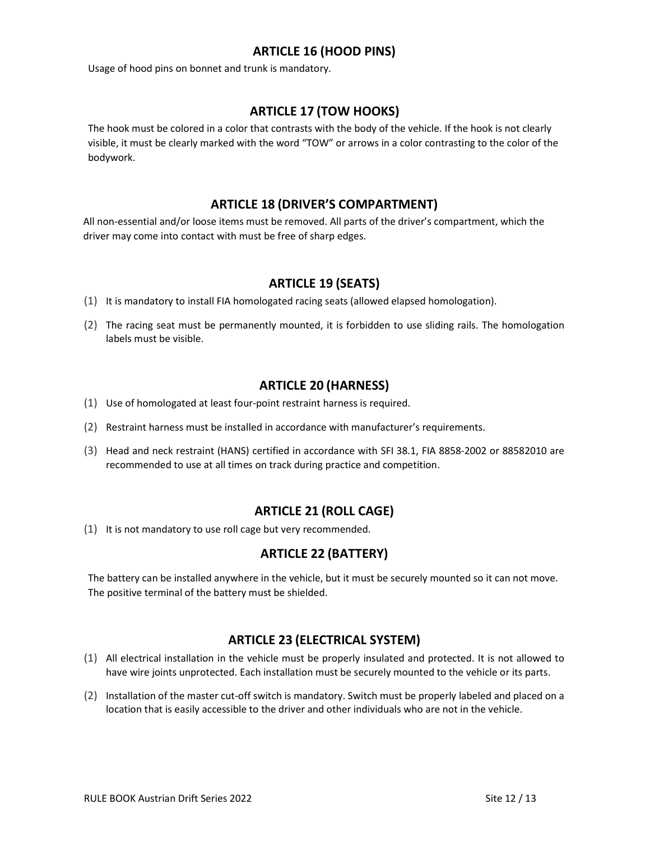# ARTICLE 16 (HOOD PINS)

Usage of hood pins on bonnet and trunk is mandatory.

# ARTICLE 17 (TOW HOOKS)

The hook must be colored in a color that contrasts with the body of the vehicle. If the hook is not clearly visible, it must be clearly marked with the word "TOW" or arrows in a color contrasting to the color of the bodywork.

# ARTICLE 18 (DRIVER'S COMPARTMENT)

All non-essential and/or loose items must be removed. All parts of the driver's compartment, which the driver may come into contact with must be free of sharp edges.

# ARTICLE 19 (SEATS)

- (1) It is mandatory to install FIA homologated racing seats (allowed elapsed homologation).
- (2) The racing seat must be permanently mounted, it is forbidden to use sliding rails. The homologation labels must be visible.

# ARTICLE 20 (HARNESS)

- (1) Use of homologated at least four-point restraint harness is required.
- (2) Restraint harness must be installed in accordance with manufacturer's requirements.
- (3) Head and neck restraint (HANS) certified in accordance with SFI 38.1, FIA 8858-2002 or 88582010 are recommended to use at all times on track during practice and competition.

# ARTICLE 21 (ROLL CAGE)

(1) It is not mandatory to use roll cage but very recommended.

# ARTICLE 22 (BATTERY)

The battery can be installed anywhere in the vehicle, but it must be securely mounted so it can not move. The positive terminal of the battery must be shielded.

# ARTICLE 23 (ELECTRICAL SYSTEM)

- (1) All electrical installation in the vehicle must be properly insulated and protected. It is not allowed to have wire joints unprotected. Each installation must be securely mounted to the vehicle or its parts.
- (2) Installation of the master cut-off switch is mandatory. Switch must be properly labeled and placed on a location that is easily accessible to the driver and other individuals who are not in the vehicle.